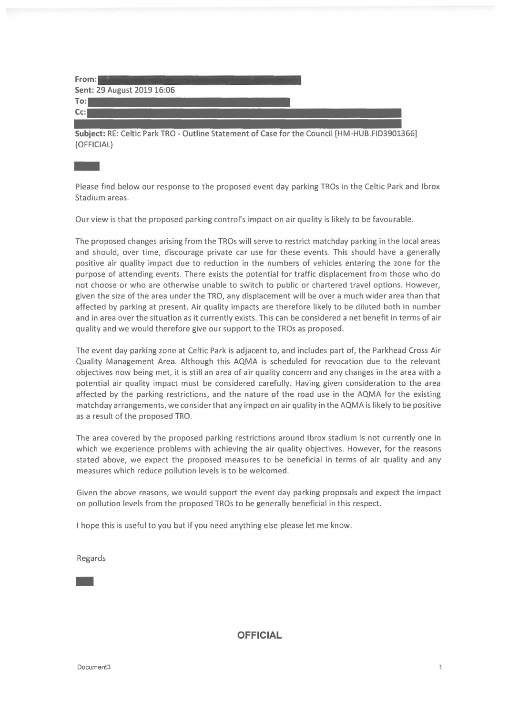| From:                      |  |  |
|----------------------------|--|--|
| Sent: 29 August 2019 16:06 |  |  |
| $T$ o:                     |  |  |
| $Cc$ :                     |  |  |
|                            |  |  |

**Subject:** RE: Celtic Park TRO - Outline Statement of Case for the Council [HM-HUB.FID3901366]

(OFFICIAL) - Please find below our response to the proposed event day parking TROs in the Celtic Park and lbrox Stadium areas.

Our view is that the proposed parking control's impact on air quality is likely to be favourable.

The proposed changes arising from the TROs will serve to restrict matchday parking in the local areas and should, over time, discourage private car use for these *events.* This should have a generally positive air quality impact due to reduction in the numbers of vehicles entering the zone for the purpose of attending events. There exists the potential for traffic displacement from those who do not choose or who are otherwise unable to switch to public or chartered travel options. However, given the size of the area under the TRO, any displacement will be *over* a much wider area than that affected by parking at present. Air quality impacts are therefore likely to be diluted both in number and in area over the situation as it currently exists. This can be considered a net benefit in terms of air quality and we would therefore give our support to the TROs as proposed.

The event day parking zone at Celtic Park is adjacent to, and includes part of, the Parkhead Cross Air Quality Management Area. Although this AQMA is scheduled for revocation due to the relevant objectives now being met, it is still an area of air quality concern and any changes in the area with a potential air quality impact must be considered carefully. Having given consideration to the area affected by the parking restrictions, and the nature of the road use in the AQMA for the existing matchday arrangements, we consider that any impact on air quality in the AQMA is likely to be positive as a result of the proposed TRO.

The area *covered* by the proposed parking restrictions around lbrox stadium is not currently one in which we experience problems with achieving the air quality objectives. However, for the reasons stated above, we expect the proposed measures to be beneficial in terms of air quality and any measures which reduce pollution levels is to be welcomed.

Given the above reasons, we would support the event day parking proposals and expect the impact on pollution levels from the proposed TROs to be generally beneficial in this respect.

I hope this is useful to you but if you need anything else please let me know.

Regards -

**OFFICIAL**